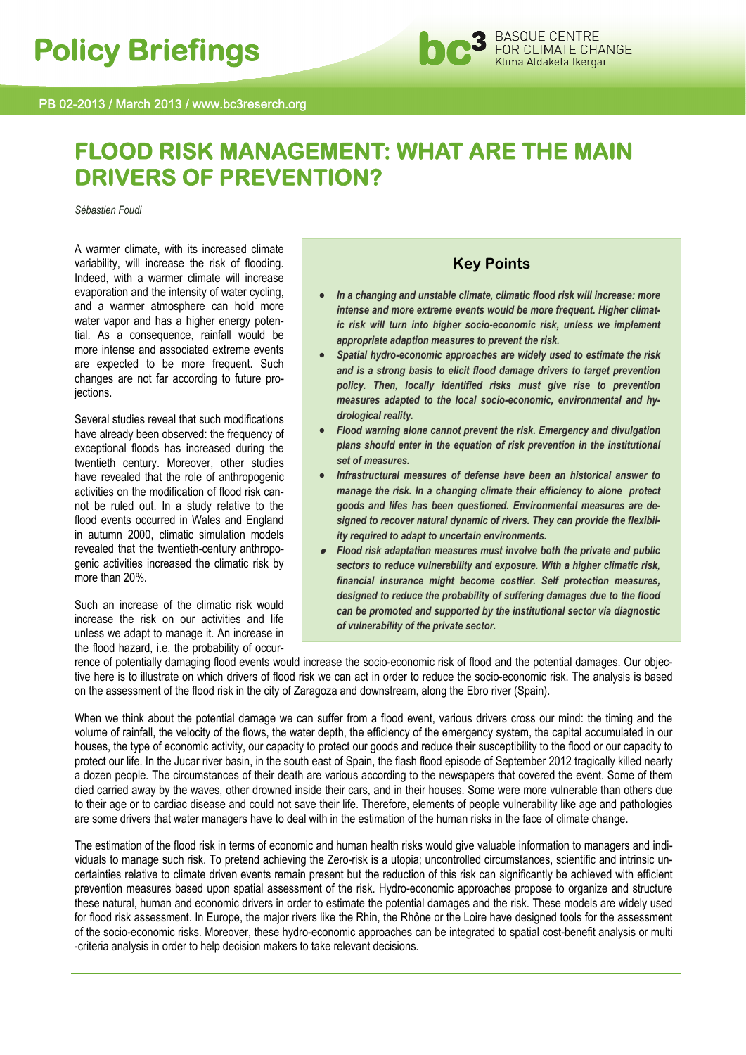

# **FLOOD RISK MANAGEMENT: WHAT ARE THE MAIN DRIVERS OF PREVENTION?**

*Sébastien Foudi*

A warmer climate, with its increased climate variability, will increase the risk of flooding. Indeed, with a warmer climate will increase evaporation and the intensity of water cycling, and a warmer atmosphere can hold more water vapor and has a higher energy potential. As a consequence, rainfall would be more intense and associated extreme events are expected to be more frequent. Such changes are not far according to future projections.

Several studies reveal that such modifications have already been observed: the frequency of exceptional floods has increased during the twentieth century. Moreover, other studies have revealed that the role of anthropogenic activities on the modification of flood risk cannot be ruled out. In a study relative to the flood events occurred in Wales and England in autumn 2000, climatic simulation models revealed that the twentieth-century anthropogenic activities increased the climatic risk by more than 20%.

Such an increase of the climatic risk would increase the risk on our activities and life unless we adapt to manage it. An increase in the flood hazard, i.e. the probability of occur-

# **Key Points**

- *In a changing and unstable climate, climatic flood risk will increase: more intense and more extreme events would be more frequent. Higher climatic risk will turn into higher socio-economic risk, unless we implement appropriate adaption measures to prevent the risk.*
- *Spatial hydro-economic approaches are widely used to estimate the risk and is a strong basis to elicit flood damage drivers to target prevention policy. Then, locally identified risks must give rise to prevention measures adapted to the local socio-economic, environmental and hydrological reality.*
- *Flood warning alone cannot prevent the risk. Emergency and divulgation plans should enter in the equation of risk prevention in the institutional set of measures.*
- *Infrastructural measures of defense have been an historical answer to manage the risk. In a changing climate their efficiency to alone protect goods and lifes has been questioned. Environmental measures are designed to recover natural dynamic of rivers. They can provide the flexibility required to adapt to uncertain environments.*
- *Flood risk adaptation measures must involve both the private and public sectors to reduce vulnerability and exposure. With a higher climatic risk, financial insurance might become costlier. Self protection measures, designed to reduce the probability of suffering damages due to the flood can be promoted and supported by the institutional sector via diagnostic of vulnerability of the private sector.*

rence of potentially damaging flood events would increase the socio-economic risk of flood and the potential damages. Our objective here is to illustrate on which drivers of flood risk we can act in order to reduce the socio-economic risk. The analysis is based on the assessment of the flood risk in the city of Zaragoza and downstream, along the Ebro river (Spain).

When we think about the potential damage we can suffer from a flood event, various drivers cross our mind: the timing and the volume of rainfall, the velocity of the flows, the water depth, the efficiency of the emergency system, the capital accumulated in our houses, the type of economic activity, our capacity to protect our goods and reduce their susceptibility to the flood or our capacity to protect our life. In the Jucar river basin, in the south east of Spain, the flash flood episode of September 2012 tragically killed nearly a dozen people. The circumstances of their death are various according to the newspapers that covered the event. Some of them died carried away by the waves, other drowned inside their cars, and in their houses. Some were more vulnerable than others due to their age or to cardiac disease and could not save their life. Therefore, elements of people vulnerability like age and pathologies are some drivers that water managers have to deal with in the estimation of the human risks in the face of climate change.

The estimation of the flood risk in terms of economic and human health risks would give valuable information to managers and individuals to manage such risk. To pretend achieving the Zero-risk is a utopia; uncontrolled circumstances, scientific and intrinsic uncertainties relative to climate driven events remain present but the reduction of this risk can significantly be achieved with efficient prevention measures based upon spatial assessment of the risk. Hydro-economic approaches propose to organize and structure these natural, human and economic drivers in order to estimate the potential damages and the risk. These models are widely used for flood risk assessment. In Europe, the major rivers like the Rhin, the Rhône or the Loire have designed tools for the assessment of the socio-economic risks. Moreover, these hydro-economic approaches can be integrated to spatial cost-benefit analysis or multi -criteria analysis in order to help decision makers to take relevant decisions.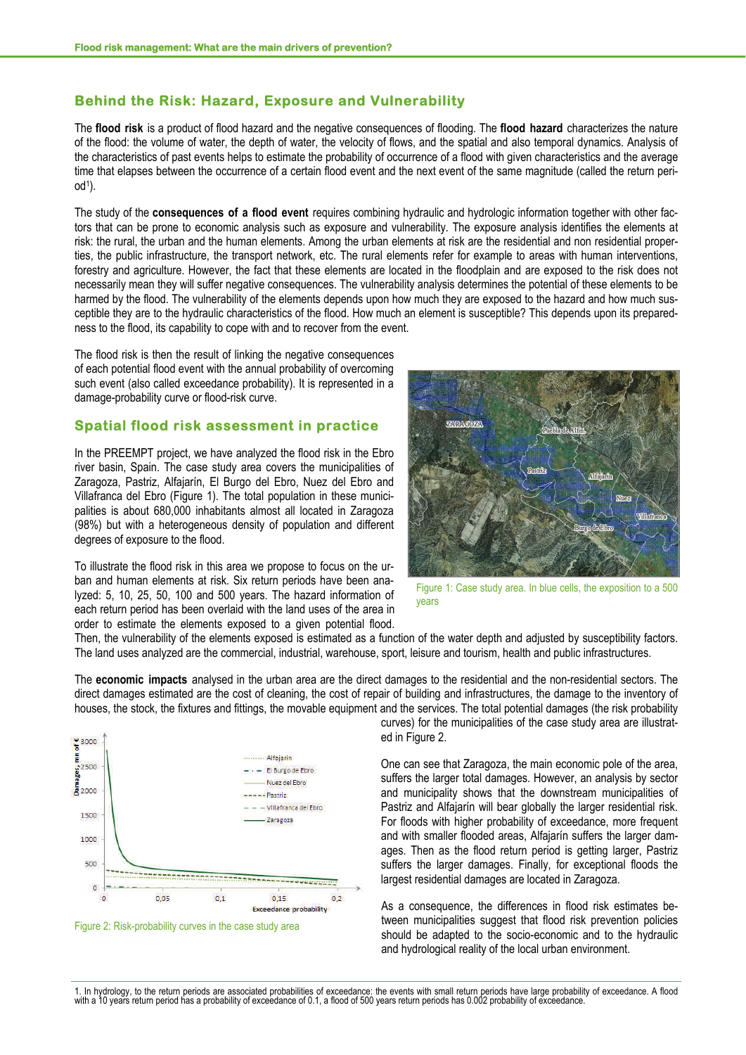## **Behind the Risk: Hazard, Exposure and Vulnerability**

The **flood risk** is a product of flood hazard and the negative consequences of flooding. The **flood hazard** characterizes the nature of the flood: the volume of water, the depth of water, the velocity of flows, and the spatial and also temporal dynamics. Analysis of the characteristics of past events helps to estimate the probability of occurrence of a flood with given characteristics and the average time that elapses between the occurrence of a certain flood event and the next event of the same magnitude (called the return peri $od<sup>1</sup>$ ).

The study of the **consequences of a flood event** requires combining hydraulic and hydrologic information together with other factors that can be prone to economic analysis such as exposure and vulnerability. The exposure analysis identifies the elements at risk: the rural, the urban and the human elements. Among the urban elements at risk are the residential and non residential properties, the public infrastructure, the transport network, etc. The rural elements refer for example to areas with human interventions, forestry and agriculture. However, the fact that these elements are located in the floodplain and are exposed to the risk does not necessarily mean they will suffer negative consequences. The vulnerability analysis determines the potential of these elements to be harmed by the flood. The vulnerability of the elements depends upon how much they are exposed to the hazard and how much susceptible they are to the hydraulic characteristics of the flood. How much an element is susceptible? This depends upon its preparedness to the flood, its capability to cope with and to recover from the event.

The flood risk is then the result of linking the negative consequences of each potential flood event with the annual probability of overcoming such event (also called exceedance probability). It is represented in a damage-probability curve or flood-risk curve.

#### **Spatial flood risk assessment in practice**

In the PREEMPT project, we have analyzed the flood risk in the Ebro river basin, Spain. The case study area covers the municipalities of Zaragoza, Pastriz, Alfajarín, El Burgo del Ebro, Nuez del Ebro and Villafranca del Ebro (Figure 1). The total population in these municipalities is about 680,000 inhabitants almost all located in Zaragoza (98%) but with a heterogeneous density of population and different degrees of exposure to the flood.

To illustrate the flood risk in this area we propose to focus on the urban and human elements at risk. Six return periods have been analyzed: 5, 10, 25, 50, 100 and 500 years. The hazard information of each return period has been overlaid with the land uses of the area in order to estimate the elements exposed to a given potential flood.



Figure 1: Case study area. In blue cells, the exposition to a 500 years

Then, the vulnerability of the elements exposed is estimated as a function of the water depth and adjusted by susceptibility factors. The land uses analyzed are the commercial, industrial, warehouse, sport, leisure and tourism, health and public infrastructures.

The **economic impacts** analysed in the urban area are the direct damages to the residential and the non-residential sectors. The direct damages estimated are the cost of cleaning, the cost of repair of building and infrastructures, the damage to the inventory of houses, the stock, the fixtures and fittings, the movable equipment and the services. The total potential damages (the risk probability





curves) for the municipalities of the case study area are illustrated in Figure 2.

One can see that Zaragoza, the main economic pole of the area, suffers the larger total damages. However, an analysis by sector and municipality shows that the downstream municipalities of Pastriz and Alfajarín will bear globally the larger residential risk. For floods with higher probability of exceedance, more frequent and with smaller flooded areas, Alfajarín suffers the larger damages. Then as the flood return period is getting larger, Pastriz suffers the larger damages. Finally, for exceptional floods the largest residential damages are located in Zaragoza.

As a consequence, the differences in flood risk estimates between municipalities suggest that flood risk prevention policies should be adapted to the socio-economic and to the hydraulic and hydrological reality of the local urban environment.

1. In hydrology, to the return periods are associated probabilities of exceedance: the events with small return periods have large probability of exceedance. A flood<br>with a 10 years return period has a probability of excee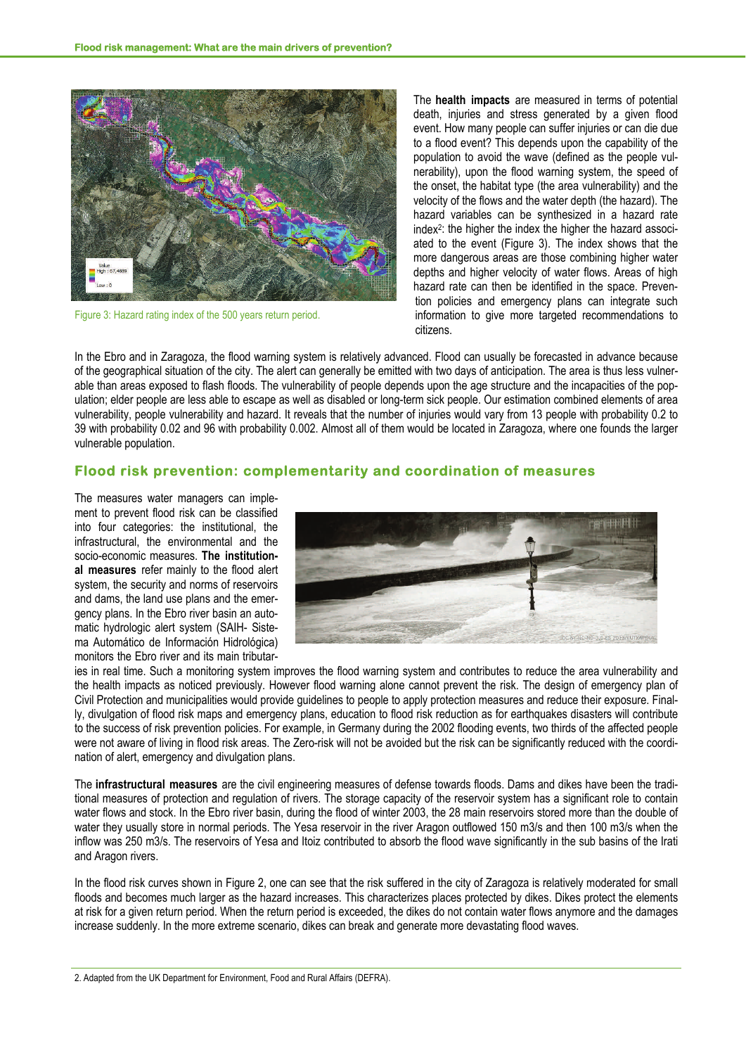

Figure 3: Hazard rating index of the 500 years return period.

The **health impacts** are measured in terms of potential death, injuries and stress generated by a given flood event. How many people can suffer injuries or can die due to a flood event? This depends upon the capability of the population to avoid the wave (defined as the people vulnerability), upon the flood warning system, the speed of the onset, the habitat type (the area vulnerability) and the velocity of the flows and the water depth (the hazard). The hazard variables can be synthesized in a hazard rate index2: the higher the index the higher the hazard associated to the event (Figure 3). The index shows that the more dangerous areas are those combining higher water depths and higher velocity of water flows. Areas of high hazard rate can then be identified in the space. Prevention policies and emergency plans can integrate such information to give more targeted recommendations to citizens.

In the Ebro and in Zaragoza, the flood warning system is relatively advanced. Flood can usually be forecasted in advance because of the geographical situation of the city. The alert can generally be emitted with two days of anticipation. The area is thus less vulnerable than areas exposed to flash floods. The vulnerability of people depends upon the age structure and the incapacities of the population; elder people are less able to escape as well as disabled or long-term sick people. Our estimation combined elements of area vulnerability, people vulnerability and hazard. It reveals that the number of injuries would vary from 13 people with probability 0.2 to 39 with probability 0.02 and 96 with probability 0.002. Almost all of them would be located in Zaragoza, where one founds the larger vulnerable population.

## **Flood risk prevention: complementarity and coordination of measures**

The measures water managers can implement to prevent flood risk can be classified into four categories: the institutional, the infrastructural, the environmental and the socio-economic measures. **The institutional measures** refer mainly to the flood alert system, the security and norms of reservoirs and dams, the land use plans and the emergency plans. In the Ebro river basin an automatic hydrologic alert system (SAIH- Sistema Automático de Información Hidrológica) monitors the Ebro river and its main tributar-



ies in real time. Such a monitoring system improves the flood warning system and contributes to reduce the area vulnerability and the health impacts as noticed previously. However flood warning alone cannot prevent the risk. The design of emergency plan of Civil Protection and municipalities would provide guidelines to people to apply protection measures and reduce their exposure. Finally, divulgation of flood risk maps and emergency plans, education to flood risk reduction as for earthquakes disasters will contribute to the success of risk prevention policies. For example, in Germany during the 2002 flooding events, two thirds of the affected people were not aware of living in flood risk areas. The Zero-risk will not be avoided but the risk can be significantly reduced with the coordination of alert, emergency and divulgation plans.

The **infrastructural measures** are the civil engineering measures of defense towards floods. Dams and dikes have been the traditional measures of protection and regulation of rivers. The storage capacity of the reservoir system has a significant role to contain water flows and stock. In the Ebro river basin, during the flood of winter 2003, the 28 main reservoirs stored more than the double of water they usually store in normal periods. The Yesa reservoir in the river Aragon outflowed 150 m3/s and then 100 m3/s when the inflow was 250 m3/s. The reservoirs of Yesa and Itoiz contributed to absorb the flood wave significantly in the sub basins of the Irati and Aragon rivers.

In the flood risk curves shown in Figure 2, one can see that the risk suffered in the city of Zaragoza is relatively moderated for small floods and becomes much larger as the hazard increases. This characterizes places protected by dikes. Dikes protect the elements at risk for a given return period. When the return period is exceeded, the dikes do not contain water flows anymore and the damages increase suddenly. In the more extreme scenario, dikes can break and generate more devastating flood waves.